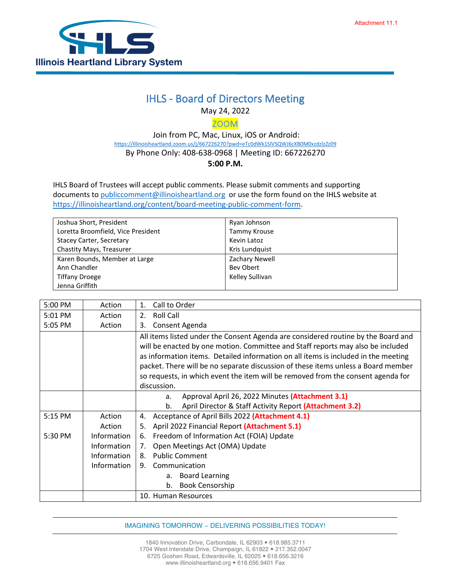

## IHLS - Board of Directors Meeting

May 24, 2022

ZOOM

 Join from PC, Mac, Linux, iOS or Android: [https://Illinoisheartland.zoom.us/j/667226270?pwd=eTc0dWk1SlVSQWJ6cXB0M0xzdzlzZz09](https://illinoisheartland.zoom.us/j/667226270?pwd=eTc0dWk1SlVSQWJ6cXB0M0xzdzlzZz09) By Phone Only: 408-638-0968 | Meeting ID: 667226270 **5:00 P.M.**

IHLS Board of Trustees will accept public comments. Please submit comments and supporting documents t[o publiccomment@illinoisheartland.org](mailto:publiccomment@illinoisheartland.org) or use the form found on the IHLS website at [https://illinoisheartland.org/content/board-meeting-public-comment-form.](https://illinoisheartland.org/content/board-meeting-public-comment-form)

| Joshua Short, President            | Ryan Johnson    |
|------------------------------------|-----------------|
| Loretta Broomfield, Vice President | Tammy Krouse    |
| Stacey Carter, Secretary           | Kevin Latoz     |
| Chastity Mays, Treasurer           | Kris Lundquist  |
| Karen Bounds, Member at Large      | Zachary Newell  |
| Ann Chandler                       | Bev Obert       |
| <b>Tiffany Droege</b>              | Kelley Sullivan |
| Jenna Griffith                     |                 |

| 5:00 PM | Action             | Call to Order<br>$\mathbf{1}$ .                                                    |
|---------|--------------------|------------------------------------------------------------------------------------|
| 5:01 PM | Action             | 2.<br>Roll Call                                                                    |
| 5:05 PM | Action             | Consent Agenda<br>3.                                                               |
|         |                    | All items listed under the Consent Agenda are considered routine by the Board and  |
|         |                    | will be enacted by one motion. Committee and Staff reports may also be included    |
|         |                    | as information items. Detailed information on all items is included in the meeting |
|         |                    | packet. There will be no separate discussion of these items unless a Board member  |
|         |                    | so requests, in which event the item will be removed from the consent agenda for   |
|         |                    | discussion.                                                                        |
|         |                    | Approval April 26, 2022 Minutes (Attachment 3.1)<br>a.                             |
|         |                    | April Director & Staff Activity Report (Attachment 3.2)<br>b.                      |
| 5:15 PM | Action             | Acceptance of April Bills 2022 (Attachment 4.1)<br>4.                              |
|         | Action             | April 2022 Financial Report (Attachment 5.1)<br>5.                                 |
| 5:30 PM | <b>Information</b> | Freedom of Information Act (FOIA) Update<br>6.                                     |
|         | <b>Information</b> | Open Meetings Act (OMA) Update<br>7.                                               |
|         | Information        | <b>Public Comment</b><br>8.                                                        |
|         | Information        | 9. Communication                                                                   |
|         |                    | <b>Board Learning</b><br>a.                                                        |
|         |                    | <b>Book Censorship</b><br>b.                                                       |
|         |                    | 10. Human Resources                                                                |

IMAGINING TOMORROW ~ DELIVERING POSSIBILITIES TODAY!